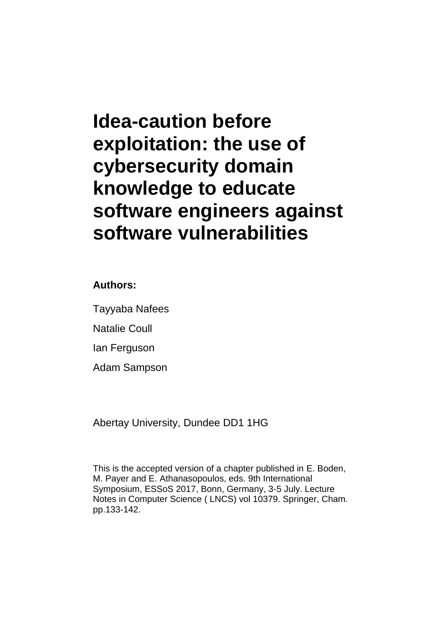# **Idea-caution before exploitation: the use of cybersecurity domain knowledge to educate software engineers against software vulnerabilities**

# **Authors:**

Tayyaba Nafees Natalie Coull

Ian Ferguson

Adam Sampson

Abertay University, Dundee DD1 1HG

This is the accepted version of a chapter published in E. Boden, M. Payer and E. Athanasopoulos, eds. 9th International Symposium, ESSoS 2017, Bonn, Germany, 3-5 July. Lecture Notes in Computer Science ( LNCS) vol 10379. Springer, Cham. pp.133-142.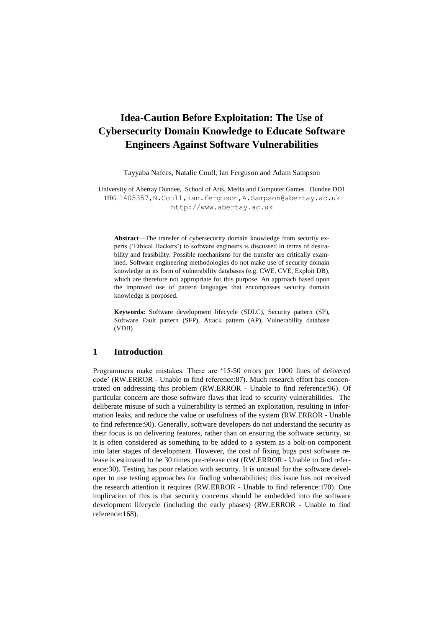# **Idea-Caution Before Exploitation: The Use of Cybersecurity Domain Knowledge to Educate Software Engineers Against Software Vulnerabilities**

Tayyaba Nafees, Natalie Coull, Ian Ferguson and Adam Sampson

University of Abertay Dundee, School of Arts, Media and Computer Games. Dundee DD1 1HG 1405357,N.Coull,ian.ferguson,A.Sampson@abertay.ac.uk http://www.abertay.ac.uk

**Abstract**—The transfer of cybersecurity domain knowledge from security experts ('Ethical Hackers') to software engineers is discussed in terms of desirability and feasibility. Possible mechanisms for the transfer are critically examined. Software engineering methodologies do not make use of security domain knowledge in its form of vulnerability databases (e.g. CWE, CVE, Exploit DB), which are therefore not appropriate for this purpose. An approach based upon the improved use of pattern languages that encompasses security domain knowledge is proposed.

**Keywords:** Software development lifecycle (SDLC), Security pattern (SP), Software Fault pattern (SFP), Attack pattern (AP), Vulnerability database (VDB)

## **1 Introduction**

Programmers make mistakes. There are '15-50 errors per 1000 lines of delivered code' (RW.ERROR - Unable to find reference:87). Much research effort has concentrated on addressing this problem (RW.ERROR - Unable to find reference:96). Of particular concern are those software flaws that lead to security vulnerabilities. The deliberate misuse of such a vulnerability is termed an exploitation, resulting in information leaks, and reduce the value or usefulness of the system (RW.ERROR - Unable to find reference:90). Generally, software developers do not understand the security as their focus is on delivering features, rather than on ensuring the software security, so it is often considered as something to be added to a system as a bolt-on component into later stages of development. However, the cost of fixing bugs post software release is estimated to be 30 times pre-release cost (RW.ERROR - Unable to find reference:30). Testing has poor relation with security. It is unusual for the software developer to use testing approaches for finding vulnerabilities; this issue has not received the research attention it requires (RW.ERROR - Unable to find reference:170). One implication of this is that security concerns should be embedded into the software development lifecycle (including the early phases) (RW.ERROR - Unable to find reference:168).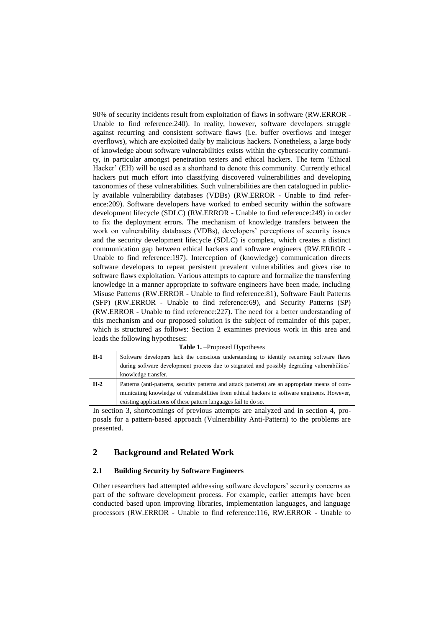90% of security incidents result from exploitation of flaws in software (RW.ERROR - Unable to find reference:240). In reality, however, software developers struggle against recurring and consistent software flaws (i.e. buffer overflows and integer overflows), which are exploited daily by malicious hackers. Nonetheless, a large body of knowledge about software vulnerabilities exists within the cybersecurity community, in particular amongst penetration testers and ethical hackers. The term 'Ethical Hacker' (EH) will be used as a shorthand to denote this community. Currently ethical hackers put much effort into classifying discovered vulnerabilities and developing taxonomies of these vulnerabilities. Such vulnerabilities are then catalogued in publicly available vulnerability databases (VDBs) (RW.ERROR - Unable to find reference:209). Software developers have worked to embed security within the software development lifecycle (SDLC) (RW.ERROR - Unable to find reference:249) in order to fix the deployment errors. The mechanism of knowledge transfers between the work on vulnerability databases (VDBs), developers' perceptions of security issues and the security development lifecycle (SDLC) is complex, which creates a distinct communication gap between ethical hackers and software engineers (RW.ERROR - Unable to find reference:197). Interception of (knowledge) communication directs software developers to repeat persistent prevalent vulnerabilities and gives rise to software flaws exploitation. Various attempts to capture and formalize the transferring knowledge in a manner appropriate to software engineers have been made, including Misuse Patterns (RW.ERROR - Unable to find reference:81), Software Fault Patterns (SFP) (RW.ERROR - Unable to find reference:69), and Security Patterns (SP) (RW.ERROR - Unable to find reference:227). The need for a better understanding of this mechanism and our proposed solution is the subject of remainder of this paper, which is structured as follows: Section 2 examines previous work in this area and leads the following hypotheses:

|  |  | Table 1. - Proposed Hypotheses |
|--|--|--------------------------------|
|--|--|--------------------------------|

| $H-1$ | Software developers lack the conscious understanding to identify recurring software flaws        |
|-------|--------------------------------------------------------------------------------------------------|
|       | during software development process due to stagnated and possibly degrading vulnerabilities'     |
|       | knowledge transfer.                                                                              |
|       |                                                                                                  |
| $H-2$ | Patterns (anti-patterns, security patterns and attack patterns) are an appropriate means of com- |
|       | municating knowledge of vulnerabilities from ethical hackers to software engineers. However,     |

In section 3, shortcomings of previous attempts are analyzed and in section 4, proposals for a pattern-based approach (Vulnerability Anti-Pattern) to the problems are presented.

# **2 Background and Related Work**

#### **2.1 Building Security by Software Engineers**

Other researchers had attempted addressing software developers' security concerns as part of the software development process. For example, earlier attempts have been conducted based upon improving libraries, implementation languages, and language processors (RW.ERROR - Unable to find reference:116, RW.ERROR - Unable to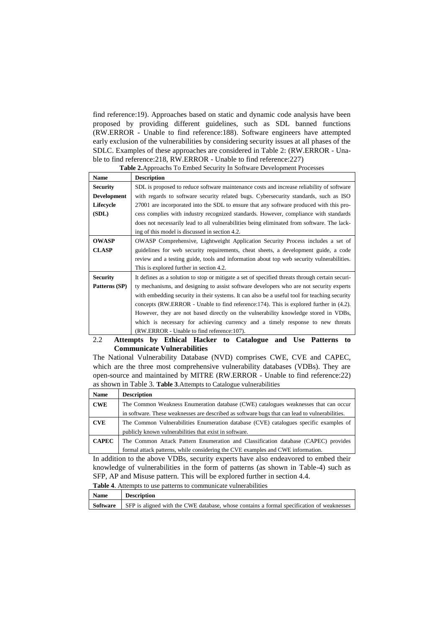find reference:19). Approaches based on static and dynamic code analysis have been proposed by providing different guidelines, such as SDL banned functions (RW.ERROR - Unable to find reference:188). Software engineers have attempted early exclusion of the vulnerabilities by considering security issues at all phases of the SDLC. Examples of these approaches are considered in Table 2: (RW.ERROR - Unable to find reference:218, RW.ERROR - Unable to find reference:227)

| <b>Table 2.</b> Approachs To Embed Security in Software Development Flocesses |                                                                                                 |  |
|-------------------------------------------------------------------------------|-------------------------------------------------------------------------------------------------|--|
| <b>Name</b>                                                                   | <b>Description</b>                                                                              |  |
| <b>Security</b>                                                               | SDL is proposed to reduce software maintenance costs and increase reliability of software       |  |
| <b>Development</b>                                                            | with regards to software security related bugs. Cybersecurity standards, such as ISO            |  |
| Lifecycle                                                                     | 27001 are incorporated into the SDL to ensure that any software produced with this pro-         |  |
| (SDL)                                                                         | cess complies with industry recognized standards. However, compliance with standards            |  |
|                                                                               | does not necessarily lead to all vulnerabilities being eliminated from software. The lack-      |  |
|                                                                               | ing of this model is discussed in section 4.2.                                                  |  |
| <b>OWASP</b>                                                                  | OWASP Comprehensive, Lightweight Application Security Process includes a set of                 |  |
| <b>CLASP</b>                                                                  | guidelines for web security requirements, cheat sheets, a development guide, a code             |  |
|                                                                               | review and a testing guide, tools and information about top web security vulnerabilities.       |  |
|                                                                               | This is explored further in section 4.2.                                                        |  |
| <b>Security</b>                                                               | It defines as a solution to stop or mitigate a set of specified threats through certain securi- |  |
| Patterns (SP)                                                                 | ty mechanisms, and designing to assist software developers who are not security experts         |  |
|                                                                               | with embedding security in their systems. It can also be a useful tool for teaching security    |  |
|                                                                               | concepts (RW.ERROR - Unable to find reference: 174). This is explored further in (4.2).         |  |
|                                                                               | However, they are not based directly on the vulnerability knowledge stored in VDBs,             |  |
|                                                                               | which is necessary for achieving currency and a timely response to new threats                  |  |
|                                                                               | (RW.ERROR - Unable to find reference:107).                                                      |  |

**Table 2.**Approachs To Embed Security In Software Development Processes

2.2 **Attempts by Ethical Hacker to Catalogue and Use Patterns to Communicate Vulnerabilities**

The National Vulnerability Database (NVD) comprises CWE, CVE and CAPEC, which are the three most comprehensive vulnerability databases (VDBs). They are open-source and maintained by MITRE (RW.ERROR - Unable to find reference:22) as shown in Table 3. **Table 3**.Attempts to Catalogue vulnerabilities

| <b>Name</b>  | <b>Description</b>                                                                             |  |
|--------------|------------------------------------------------------------------------------------------------|--|
| <b>CWE</b>   | The Common Weakness Enumeration database (CWE) catalogues weaknesses that can occur            |  |
|              | in software. These weaknesses are described as software bugs that can lead to vulnerabilities. |  |
| CVE          | The Common Vulnerabilities Enumeration database (CVE) catalogues specific examples of          |  |
|              | publicly known vulnerabilities that exist in software.                                         |  |
| <b>CAPEC</b> | The Common Attack Pattern Enumeration and Classification database (CAPEC) provides             |  |
|              | formal attack patterns, while considering the CVE examples and CWE information.                |  |

In addition to the above VDBs, security experts have also endeavored to embed their knowledge of vulnerabilities in the form of patterns (as shown in Table-4) such as SFP, AP and Misuse pattern. This will be explored further in section 4.4.

**Table 4**. Attempts to use patterns to communicate vulnerabilities

| Name | <b>Description</b>                                                                                        |
|------|-----------------------------------------------------------------------------------------------------------|
|      | <b>Software</b> SFP is aligned with the CWE database, whose contains a formal specification of weaknesses |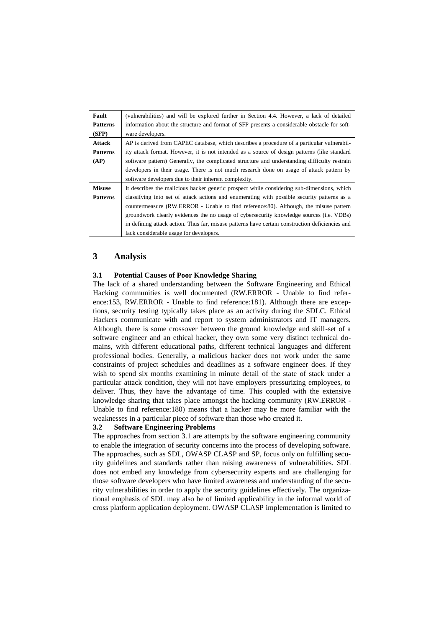| Fault           | (vulnerabilities) and will be explored further in Section 4.4. However, a lack of detailed      |  |
|-----------------|-------------------------------------------------------------------------------------------------|--|
| <b>Patterns</b> | information about the structure and format of SFP presents a considerable obstacle for soft-    |  |
| (SFP)           | ware developers.                                                                                |  |
| <b>Attack</b>   | AP is derived from CAPEC database, which describes a procedure of a particular vulnerabil-      |  |
| <b>Patterns</b> | ity attack format. However, it is not intended as a source of design patterns (like standard    |  |
| (AP)            | software pattern) Generally, the complicated structure and understanding difficulty restrain    |  |
|                 | developers in their usage. There is not much research done on usage of attack pattern by        |  |
|                 | software developers due to their inherent complexity.                                           |  |
| <b>Misuse</b>   | It describes the malicious hacker generic prospect while considering sub-dimensions, which      |  |
| <b>Patterns</b> | classifying into set of attack actions and enumerating with possible security patterns as a     |  |
|                 | countermeasure (RW.ERROR - Unable to find reference: 80). Although, the misuse pattern          |  |
|                 | groundwork clearly evidences the no usage of cybersecurity knowledge sources (i.e. VDBs)        |  |
|                 | in defining attack action. Thus far, misuse patterns have certain construction deficiencies and |  |
|                 | lack considerable usage for developers.                                                         |  |

## **3 Analysis**

#### **3.1 Potential Causes of Poor Knowledge Sharing**

The lack of a shared understanding between the Software Engineering and Ethical Hacking communities is well documented (RW.ERROR - Unable to find reference:153, RW.ERROR - Unable to find reference:181). Although there are exceptions, security testing typically takes place as an activity during the SDLC. Ethical Hackers communicate with and report to system administrators and IT managers. Although, there is some crossover between the ground knowledge and skill-set of a software engineer and an ethical hacker, they own some very distinct technical domains, with different educational paths, different technical languages and different professional bodies. Generally, a malicious hacker does not work under the same constraints of project schedules and deadlines as a software engineer does. If they wish to spend six months examining in minute detail of the state of stack under a particular attack condition, they will not have employers pressurizing employees, to deliver. Thus, they have the advantage of time. This coupled with the extensive knowledge sharing that takes place amongst the hacking community (RW.ERROR - Unable to find reference:180) means that a hacker may be more familiar with the weaknesses in a particular piece of software than those who created it.

#### **3.2 Software Engineering Problems**

The approaches from section 3.1 are attempts by the software engineering community to enable the integration of security concerns into the process of developing software. The approaches, such as SDL, OWASP CLASP and SP, focus only on fulfilling security guidelines and standards rather than raising awareness of vulnerabilities. SDL does not embed any knowledge from cybersecurity experts and are challenging for those software developers who have limited awareness and understanding of the security vulnerabilities in order to apply the security guidelines effectively. The organizational emphasis of SDL may also be of limited applicability in the informal world of cross platform application deployment. OWASP CLASP implementation is limited to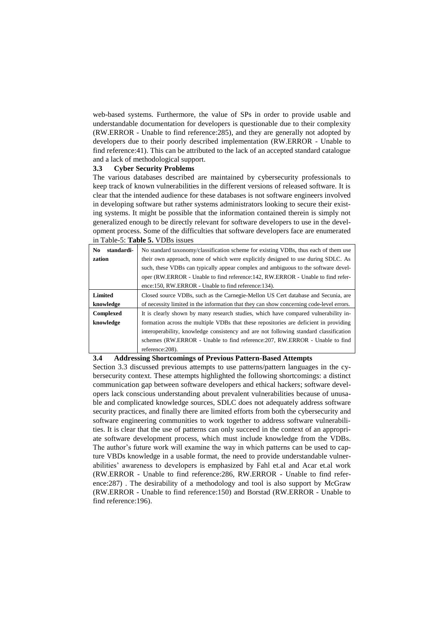web-based systems. Furthermore, the value of SPs in order to provide usable and understandable documentation for developers is questionable due to their complexity (RW.ERROR - Unable to find reference:285), and they are generally not adopted by developers due to their poorly described implementation (RW.ERROR - Unable to find reference:41). This can be attributed to the lack of an accepted standard catalogue and a lack of methodological support.

### **3.3 Cyber Security Problems**

The various databases described are maintained by cybersecurity professionals to keep track of known vulnerabilities in the different versions of released software. It is clear that the intended audience for these databases is not software engineers involved in developing software but rather systems administrators looking to secure their existing systems. It might be possible that the information contained therein is simply not generalized enough to be directly relevant for software developers to use in the development process. Some of the difficulties that software developers face are enumerated in Table-5: **Table 5.** VDBs issues

| standardi-<br>No | No standard taxonomy/classification scheme for existing VDBs, thus each of them use      |  |
|------------------|------------------------------------------------------------------------------------------|--|
| zation           | their own approach, none of which were explicitly designed to use during SDLC. As        |  |
|                  | such, these VDBs can typically appear complex and ambiguous to the software devel-       |  |
|                  | oper (RW.ERROR - Unable to find reference: 142, RW.ERROR - Unable to find refer-         |  |
|                  | ence:150, RW.ERROR - Unable to find reference:134).                                      |  |
| <b>Limited</b>   | Closed source VDBs, such as the Carnegie-Mellon US Cert database and Secunia, are        |  |
| knowledge        | of necessity limited in the information that they can show concerning code-level errors. |  |
| Complexed        | It is clearly shown by many research studies, which have compared vulnerability in-      |  |
| knowledge        | formation across the multiple VDBs that these repositories are deficient in providing    |  |
|                  | interoperability, knowledge consistency and are not following standard classification    |  |
|                  | schemes (RW.ERROR - Unable to find reference: 207, RW.ERROR - Unable to find             |  |
|                  | reference: 208).                                                                         |  |

#### **3.4 Addressing Shortcomings of Previous Pattern-Based Attempts**

Section 3.3 discussed previous attempts to use patterns/pattern languages in the cybersecurity context. These attempts highlighted the following shortcomings: a distinct communication gap between software developers and ethical hackers; software developers lack conscious understanding about prevalent vulnerabilities because of unusable and complicated knowledge sources, SDLC does not adequately address software security practices, and finally there are limited efforts from both the cybersecurity and software engineering communities to work together to address software vulnerabilities. It is clear that the use of patterns can only succeed in the context of an appropriate software development process, which must include knowledge from the VDBs. The author's future work will examine the way in which patterns can be used to capture VBDs knowledge in a usable format, the need to provide understandable vulnerabilities' awareness to developers is emphasized by Fahl et.al and Acar et.al work (RW.ERROR - Unable to find reference:286, RW.ERROR - Unable to find reference:287) . The desirability of a methodology and tool is also support by McGraw (RW.ERROR - Unable to find reference:150) and Borstad (RW.ERROR - Unable to find reference:196).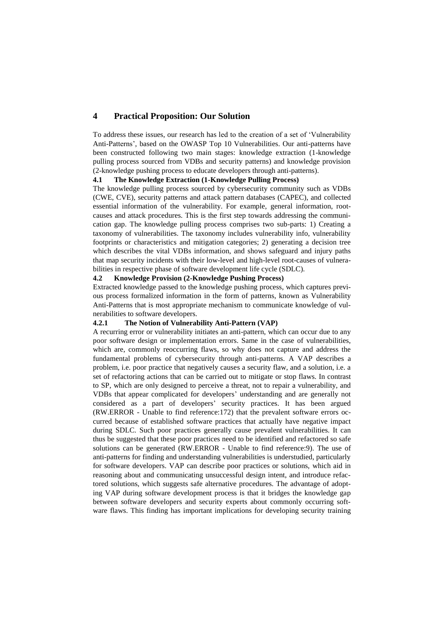# **4 Practical Proposition: Our Solution**

To address these issues, our research has led to the creation of a set of 'Vulnerability Anti-Patterns', based on the OWASP Top 10 Vulnerabilities. Our anti-patterns have been constructed following two main stages: knowledge extraction (1-knowledge pulling process sourced from VDBs and security patterns) and knowledge provision (2-knowledge pushing process to educate developers through anti-patterns).

#### **4.1 The Knowledge Extraction (1-Knowledge Pulling Process)**

The knowledge pulling process sourced by cybersecurity community such as VDBs (CWE, CVE), security patterns and attack pattern databases (CAPEC), and collected essential information of the vulnerability. For example, general information, rootcauses and attack procedures. This is the first step towards addressing the communication gap. The knowledge pulling process comprises two sub-parts: 1) Creating a taxonomy of vulnerabilities. The taxonomy includes vulnerability info, vulnerability footprints or characteristics and mitigation categories; 2) generating a decision tree which describes the vital VDBs information, and shows safeguard and injury paths that map security incidents with their low-level and high-level root-causes of vulnerabilities in respective phase of software development life cycle (SDLC).

#### **4.2 Knowledge Provision (2-Knowledge Pushing Process)**

Extracted knowledge passed to the knowledge pushing process, which captures previous process formalized information in the form of patterns, known as Vulnerability Anti-Patterns that is most appropriate mechanism to communicate knowledge of vulnerabilities to software developers.

#### **4.2.1 The Notion of Vulnerability Anti-Pattern (VAP)**

A recurring error or vulnerability initiates an anti-pattern, which can occur due to any poor software design or implementation errors. Same in the case of vulnerabilities, which are, commonly reoccurring flaws, so why does not capture and address the fundamental problems of cybersecurity through anti-patterns. A VAP describes a problem, i.e. poor practice that negatively causes a security flaw, and a solution, i.e. a set of refactoring actions that can be carried out to mitigate or stop flaws. In contrast to SP, which are only designed to perceive a threat, not to repair a vulnerability, and VDBs that appear complicated for developers' understanding and are generally not considered as a part of developers' security practices. It has been argued (RW.ERROR - Unable to find reference:172) that the prevalent software errors occurred because of established software practices that actually have negative impact during SDLC. Such poor practices generally cause prevalent vulnerabilities. It can thus be suggested that these poor practices need to be identified and refactored so safe solutions can be generated (RW.ERROR - Unable to find reference:9). The use of anti-patterns for finding and understanding vulnerabilities is understudied, particularly for software developers. VAP can describe poor practices or solutions, which aid in reasoning about and communicating unsuccessful design intent, and introduce refactored solutions, which suggests safe alternative procedures. The advantage of adopting VAP during software development process is that it bridges the knowledge gap between software developers and security experts about commonly occurring software flaws. This finding has important implications for developing security training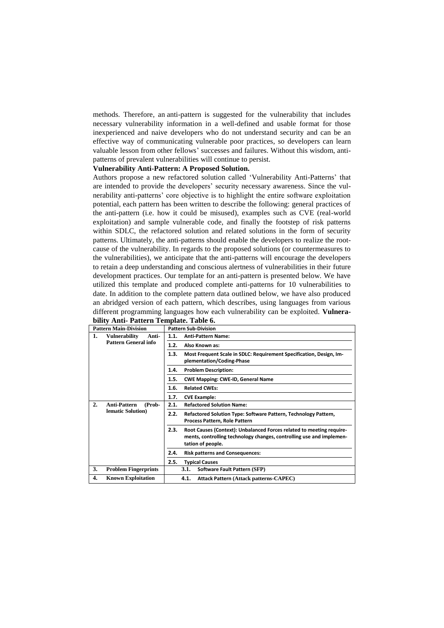methods. Therefore, an anti-pattern is suggested for the vulnerability that includes necessary vulnerability information in a well-defined and usable format for those inexperienced and naive developers who do not understand security and can be an effective way of communicating vulnerable poor practices, so developers can learn valuable lesson from other fellows' successes and failures. Without this wisdom, antipatterns of prevalent vulnerabilities will continue to persist.

#### **Vulnerability Anti-Pattern: A Proposed Solution.**

Authors propose a new refactored solution called 'Vulnerability Anti-Patterns' that are intended to provide the developers' security necessary awareness. Since the vulnerability anti-patterns' core objective is to highlight the entire software exploitation potential, each pattern has been written to describe the following: general practices of the anti-pattern (i.e. how it could be misused), examples such as CVE (real-world exploitation) and sample vulnerable code, and finally the footstep of risk patterns within SDLC, the refactored solution and related solutions in the form of security patterns. Ultimately, the anti-patterns should enable the developers to realize the rootcause of the vulnerability. In regards to the proposed solutions (or countermeasures to the vulnerabilities), we anticipate that the anti-patterns will encourage the developers to retain a deep understanding and conscious alertness of vulnerabilities in their future development practices. Our template for an anti-pattern is presented below. We have utilized this template and produced complete anti-patterns for 10 vulnerabilities to date. In addition to the complete pattern data outlined below, we have also produced an abridged version of each pattern, which describes, using languages from various different programming languages how each vulnerability can be exploited. **Vulnera-**

|                      | <b>Pattern Main-Division</b>                                                                             | <b>Pattern Sub-Division</b>                                                                                                                                               |
|----------------------|----------------------------------------------------------------------------------------------------------|---------------------------------------------------------------------------------------------------------------------------------------------------------------------------|
| 1.                   | <b>Vulnerability</b><br>Anti-                                                                            | 1.1.<br><b>Anti-Pattern Name:</b>                                                                                                                                         |
| Pattern General info | 1.2.<br>Also Known as:                                                                                   |                                                                                                                                                                           |
|                      | 1.3.<br>Most Frequent Scale in SDLC: Requirement Specification, Design, Im-<br>plementation/Coding-Phase |                                                                                                                                                                           |
|                      |                                                                                                          | <b>Problem Description:</b><br>1.4.                                                                                                                                       |
|                      | 1.5.<br><b>CWE Mapping: CWE-ID, General Name</b>                                                         |                                                                                                                                                                           |
|                      |                                                                                                          | 1.6.<br><b>Related CWEs:</b>                                                                                                                                              |
|                      |                                                                                                          | 1.7.<br><b>CVE Example:</b>                                                                                                                                               |
| $\overline{2}$ .     | Anti-Pattern<br>(Prob-                                                                                   | 2.1.<br><b>Refactored Solution Name:</b>                                                                                                                                  |
|                      | lematic Solution)                                                                                        | 2.2.<br>Refactored Solution Type: Software Pattern, Technology Pattern,<br>Process Pattern, Role Pattern                                                                  |
|                      |                                                                                                          | 2.3.<br>Root Causes (Context): Unbalanced Forces related to meeting require-<br>ments, controlling technology changes, controlling use and implemen-<br>tation of people. |
|                      |                                                                                                          | 2.4.<br><b>Risk patterns and Consequences:</b>                                                                                                                            |
|                      |                                                                                                          | 2.5.<br><b>Typical Causes</b>                                                                                                                                             |
| 3.                   | <b>Problem Fingerprints</b>                                                                              | 3.1.<br>Software Fault Pattern (SFP)                                                                                                                                      |
| 4.                   | <b>Known Exploitation</b>                                                                                | 4.1.<br>Attack Pattern (Attack patterns-CAPEC)                                                                                                                            |

**bility Anti- Pattern Template. Table 6.**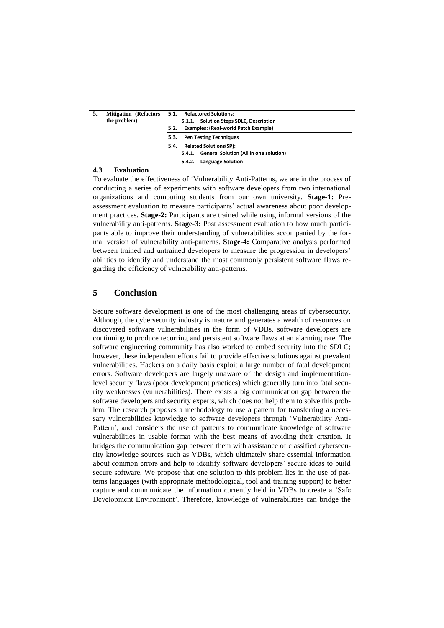| 5. | <b>Mitigation</b> (Refactors) | 5.1. Refactored Solutions:                          |
|----|-------------------------------|-----------------------------------------------------|
|    | the problem)                  | 5.1.1. Solution Steps SDLC, Description             |
|    |                               | <b>Examples: (Real-world Patch Example)</b><br>5.2. |
|    |                               | 5.3. Pen Testing Techniques                         |
|    |                               | <b>Related Solutions(SP):</b><br>5.4.               |
|    |                               | 5.4.1. General Solution (All in one solution)       |
|    |                               | <b>Language Solution</b><br>5.4.2.                  |

#### **4.3 Evaluation**

To evaluate the effectiveness of 'Vulnerability Anti-Patterns, we are in the process of conducting a series of experiments with software developers from two international organizations and computing students from our own university. **Stage-1:** Preassessment evaluation to measure participants' actual awareness about poor development practices. **Stage-2:** Participants are trained while using informal versions of the vulnerability anti-patterns. **Stage-3:** Post assessment evaluation to how much participants able to improve their understanding of vulnerabilities accompanied by the formal version of vulnerability anti-patterns. **Stage-4:** Comparative analysis performed between trained and untrained developers to measure the progression in developers' abilities to identify and understand the most commonly persistent software flaws regarding the efficiency of vulnerability anti-patterns.

# **5 Conclusion**

Secure software development is one of the most challenging areas of cybersecurity. Although, the cybersecurity industry is mature and generates a wealth of resources on discovered software vulnerabilities in the form of VDBs, software developers are continuing to produce recurring and persistent software flaws at an alarming rate. The software engineering community has also worked to embed security into the SDLC; however, these independent efforts fail to provide effective solutions against prevalent vulnerabilities. Hackers on a daily basis exploit a large number of fatal development errors. Software developers are largely unaware of the design and implementationlevel security flaws (poor development practices) which generally turn into fatal security weaknesses (vulnerabilities). There exists a big communication gap between the software developers and security experts, which does not help them to solve this problem. The research proposes a methodology to use a pattern for transferring a necessary vulnerabilities knowledge to software developers through 'Vulnerability Anti-Pattern', and considers the use of patterns to communicate knowledge of software vulnerabilities in usable format with the best means of avoiding their creation. It bridges the communication gap between them with assistance of classified cybersecurity knowledge sources such as VDBs, which ultimately share essential information about common errors and help to identify software developers' secure ideas to build secure software. We propose that one solution to this problem lies in the use of patterns languages (with appropriate methodological, tool and training support) to better capture and communicate the information currently held in VDBs to create a 'Safe Development Environment'. Therefore, knowledge of vulnerabilities can bridge the